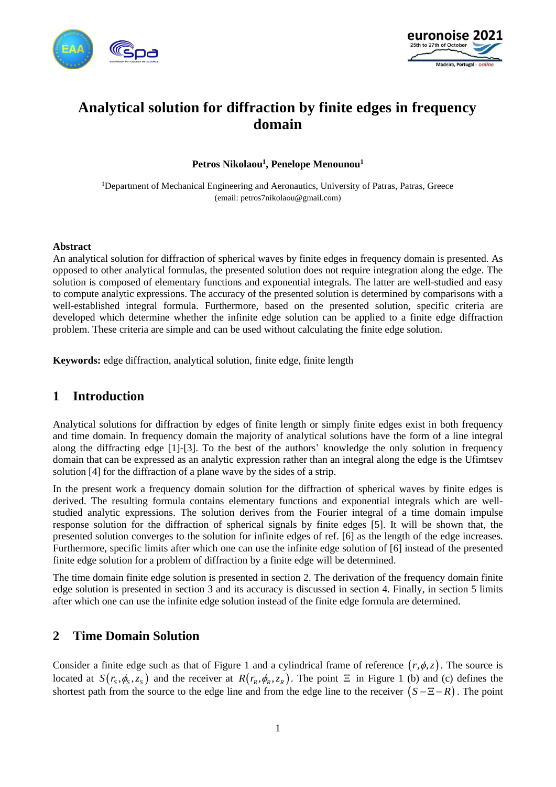



# **Analytical solution for diffraction by finite edges in frequency domain**

**Petros Nikolaou<sup>1</sup> , Penelope Menounou<sup>1</sup>**

<sup>1</sup>Department of Mechanical Engineering and Aeronautics, University of Patras, Patras, Greece (email: petros7nikolaou@gmail.com)

#### **Abstract**

An analytical solution for diffraction of spherical waves by finite edges in frequency domain is presented. As opposed to other analytical formulas, the presented solution does not require integration along the edge. The solution is composed of elementary functions and exponential integrals. The latter are well-studied and easy to compute analytic expressions. The accuracy of the presented solution is determined by comparisons with a well-established integral formula. Furthermore, based on the presented solution, specific criteria are developed which determine whether the infinite edge solution can be applied to a finite edge diffraction problem. These criteria are simple and can be used without calculating the finite edge solution.

**Keywords:** edge diffraction, analytical solution, finite edge, finite length

## **1 Introduction**

Analytical solutions for diffraction by edges of finite length or simply finite edges exist in both frequency and time domain. In frequency domain the majority of analytical solutions have the form of a line integral along the diffracting edge [\[1\]](#page-9-0)[-\[3\].](#page-9-1) To the best of the authors' knowledge the only solution in frequency domain that can be expressed as an analytic expression rather than an integral along the edge is the Ufimtsev solution [\[4\]](#page-9-2) for the diffraction of a plane wave by the sides of a strip.

In the present work a frequency domain solution for the diffraction of spherical waves by finite edges is derived. The resulting formula contains elementary functions and exponential integrals which are wellstudied analytic expressions. The solution derives from the Fourier integral of a time domain impulse response solution for the diffraction of spherical signals by finite edges [\[5\].](#page-9-3) It will be shown that, the presented solution converges to the solution for infinite edges of ref. [\[6\]](#page-9-4) as the length of the edge increases. Furthermore, specific limits after which one can use the infinite edge solution of [\[6\]](#page-9-4) instead of the presented finite edge solution for a problem of diffraction by a finite edge will be determined.

The time domain finite edge solution is presented in section 2. The derivation of the frequency domain finite edge solution is presented in section 3 and its accuracy is discussed in section 4. Finally, in section 5 limits after which one can use the infinite edge solution instead of the finite edge formula are determined.

## **2 Time Domain Solution**

Consider a finite edge such as that of [Figure 1](#page-2-0) and a cylindrical frame of reference  $(r, \phi, z)$ . The source is located at  $S(r_s, \phi_s, z_s)$  and the receiver at  $R(r_k, \phi_k, z_k)$ . The point  $\Xi$  in [Figure 1](#page-2-0) (b) and (c) defines the shortest path from the source to the edge line and from the edge line to the receiver  $(S - \Xi - R)$ . The point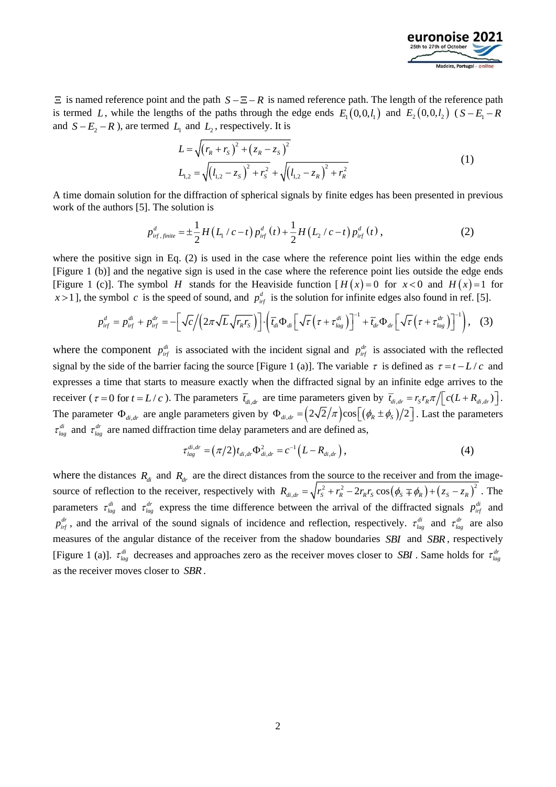

 $\Xi$  is named reference point and the path  $S - \Xi - R$  is named reference path. The length of the reference path is termed L, while the lengths of the paths through the edge ends  $E_1(0,0,l_1)$  and  $E_2(0,0,l_2)$  ( $S - E_1 - R$ and  $S - E_2 - R$ ), are termed  $L_1$  and  $L_2$ , respectively. It is

$$
L = \sqrt{(r_R + r_S)^2 + (z_R - z_S)^2}
$$
  
\n
$$
L_{1,2} = \sqrt{(l_{1,2} - z_S)^2 + r_S^2} + \sqrt{(l_{1,2} - z_R)^2 + r_R^2}
$$
\n(1)

A time domain solution for the diffraction of spherical signals by finite edges has been presented in previous work of the authors [\[5\].](#page-9-3) The solution is

$$
p_{\textit{inf.finite}}^{\textit{d}} = \pm \frac{1}{2} H\left(L_1/c - t\right) p_{\textit{inf}}^{\textit{d}}\left(t\right) + \frac{1}{2} H\left(L_2/c - t\right) p_{\textit{inf}}^{\textit{d}}\left(t\right), \tag{2}
$$

where the positive sign in Eq. (2) is used in the case where the reference point lies within the edge ends [\[Figure 1](#page-2-0) (b)] and the negative sign is used in the case where the reference point lies outside the edge ends [\[Figure 1](#page-2-0) (c)]. The symbol *H* stands for the Heaviside function  $H(x) = 0$  for  $x < 0$  and  $H(x) = 1$  for  $x > 1$ , the symbol c is the speed of sound, and  $p_{\text{inf}}^d$  is the solution for infinite edges also found in ref. [\[5\].](#page-9-3)

$$
p_{\text{inf}}^d = p_{\text{inf}}^{\text{di}} + p_{\text{inf}}^{\text{dr}} = -\left[\sqrt{c}/\left(2\pi\sqrt{L}\sqrt{r_{\text{R}}r_{\text{S}}}\right)\right] \cdot \left(\overline{t}_{\text{di}}\Phi_{\text{di}}\left[\sqrt{\tau}\left(\tau + \tau_{\text{lag}}^{\text{di}}\right)\right]^{-1} + \overline{t}_{\text{dr}}\Phi_{\text{dr}}\left[\sqrt{\tau}\left(\tau + \tau_{\text{lag}}^{\text{dr}}\right)\right]^{-1}\right), \quad (3)
$$

where the component  $p_{if}^{di}$  is associated with the incident signal and  $p_{if}^{dr}$  is associated with the reflected signal by the side of the barrier facing the source [\[Figure 1](#page-2-0) (a)]. The variable  $\tau$  is defined as  $\tau = t - L/c$  and expresses a time that starts to measure exactly when the diffracted signal by an infinite edge arrives to the receiver ( $\tau = 0$  for  $t = L/c$ ). The parameters  $\overline{t}_{di,dr}$  are time parameters given by  $\overline{t}_{di,dr} = r_s r_R \pi / [c(L + R_{di,dr})]$ . The parameter  $\Phi_{di, dr}$  are angle parameters given by  $\Phi_{di, dr} = (2\sqrt{2}/\pi) \cos[(\phi_R \pm \phi_S)/2]$ . Last the parameters  $\tau_{lag}^{di}$  and  $\tau_{lag}^{dr}$  are named diffraction time delay parameters and are defined as,

$$
\tau_{lag}^{di,dr} = (\pi/2) t_{di,dr} \Phi_{di,dr}^2 = c^{-1} (L - R_{di,dr}), \qquad (4)
$$

where the distances  $R_d$  and  $R_d$  are the direct distances from the source to the receiver and from the imagesource of reflection to the receiver, respectively with  $R_{di,dr} = \sqrt{r_s^2 + r_R^2 - 2r_R r_S} \cos(\phi_s \mp \phi_R) + (z_s - z_R)^2$  $R_{di,dr} = \sqrt{r_s^2 + r_R^2} - 2r_R r_S \cos(\phi_s \mp \phi_R) + (z_S - z_R)^2$ . The parameters  $\tau_{lag}^{di}$  and  $\tau_{lag}^{dr}$  express the time difference between the arrival of the diffracted signals  $p_{if}^{di}$  and  $p_{if}^{dr}$ , and the arrival of the sound signals of incidence and reflection, respectively.  $\tau_{lag}^{dr}$  and  $\tau_{lag}^{dr}$  are also measures of the angular distance of the receiver from the shadow boundaries *SBI* and *SBR* , respectively [\[Figure 1](#page-2-0) (a)].  $\tau_{lag}^{di}$  decreases and approaches zero as the receiver moves closer to *SBI*. Same holds for  $\tau_{lag}^{dr}$ as the receiver moves closer to *SBR*.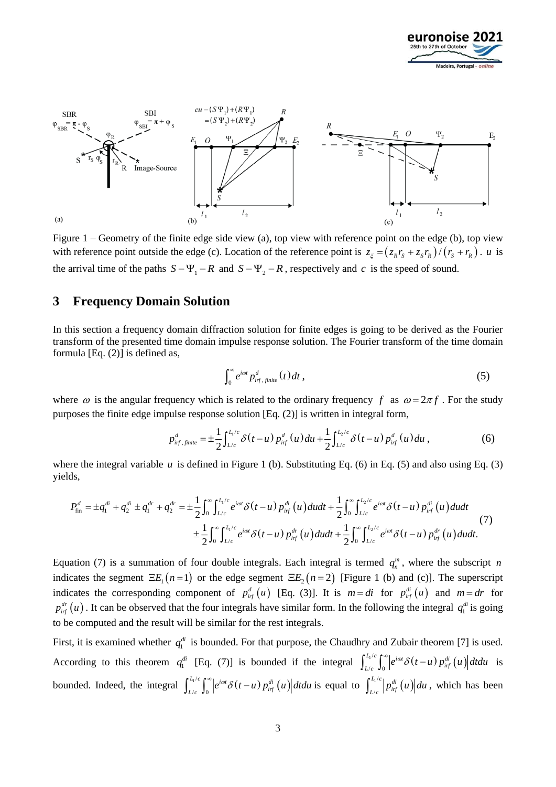



<span id="page-2-0"></span>Figure 1 – Geometry of the finite edge side view (a), top view with reference point on the edge (b), top view with reference point outside the edge (c). Location of the reference point is  $z_{\xi} = (z_{R}r_{S} + z_{S}r_{R})/(r_{S} + r_{R})$ . *u* is the arrival time of the paths  $S - \Psi_1 - R$  and  $S - \Psi_2 - R$ , respectively and c is the speed of sound.

#### <span id="page-2-1"></span>**3 Frequency Domain Solution**

In this section a frequency domain diffraction solution for finite edges is going to be derived as the Fourier transform of the presented time domain impulse response solution. The Fourier transform of the time domain formula [Eq. (2)] is defined as,

$$
\int_0^\infty e^{i\omega t} p_{\text{irf},\text{finite}}^d(t) dt , \qquad (5)
$$

where  $\omega$  is the angular frequency which is related to the ordinary frequency f as  $\omega = 2\pi f$ . For the study purposes the finite edge impulse response solution [Eq. (2)] is written in integral form,

$$
p_{\textit{inf.finite}}^d = \pm \frac{1}{2} \int_{L/c}^{L/c} \delta(t-u) \, p_{\textit{inf}}^d(u) \, du + \frac{1}{2} \int_{L/c}^{L_2/c} \delta(t-u) \, p_{\textit{inf}}^d(u) \, du \,, \tag{6}
$$

yields,

$$
p_{ij\ f,jinite}^{a} = \pm \frac{1}{2} \int_{L/c} \delta(t-u) p_{ij}^{a}(u) du + \frac{1}{2} \int_{L/c} \delta(t-u) p_{ij}^{a}(u) du , \qquad (6)
$$
\nwhere the integral variable *u* is defined in Figure 1 (b). Substituting Eq. (6) in Eq. (5) and also using Eq. (3)\nyields,\n
$$
P_{fin}^{d} = \pm q_{i}^{di} + q_{2}^{di} \pm q_{1}^{dr} + q_{2}^{dr} = \pm \frac{1}{2} \int_{0}^{\infty} \int_{L/c}^{L_{1}/c} e^{i\omega t} \delta(t-u) p_{ij}^{di}(u) du dt + \frac{1}{2} \int_{0}^{\infty} \int_{L/c}^{L_{2}/c} e^{i\omega t} \delta(t-u) p_{ij}^{di}(u) du dt + \frac{1}{2} \int_{0}^{\infty} \int_{L/c}^{L_{2}/c} e^{i\omega t} \delta(t-u) p_{ij}^{dr}(u) du dt.
$$
\n(7)\n
$$
\pm \frac{1}{2} \int_{0}^{\infty} \int_{L/c}^{L_{1}/c} e^{i\omega t} \delta(t-u) p_{ij}^{dr}(u) du dt + \frac{1}{2} \int_{0}^{\infty} \int_{L/c}^{L_{2}/c} e^{i\omega t} \delta(t-u) p_{ij}^{dr}(u) du dt.
$$

Equation (7) is a summation of four double integrals. Each integral is termed  $q_n^m$ , where the subscript *n* indicates the segment  $\Xi E_1(n=1)$  or the edge segment  $\Xi E_2(n=2)$  [\[Figure 1](#page-2-0) (b) and (c)]. The superscript indicates the corresponding component of  $p_{\text{inf}}^d(u)$  [Eq. (3)]. It is  $m = di$  for  $p_{\text{inf}}^{di}(u)$  and  $m = dr$  for  $p_{if}^{dr}(u)$ . It can be observed that the four integrals have similar form. In the following the integral  $q_1^{di}$  is going to be computed and the result will be similar for the rest integrals.

First, it is examined whether  $q_1^d$  is bounded. For that purpose, the Chaudhry and Zubair theorem [\[7\]](#page-9-5) is used. According to this theorem  $q_1^{di}$  [Eq. (7)] is bounded if the integral  $\int_{t/a}^{L_1/c} \int_{0}^{\infty} |e^{i\omega t} \delta(t-u) p_{if}^{di}(u)|$  $/c$  J $\rm 0$  $L_1/c$   $\int_0^\infty | \int_{a}^{b} \cot \sigma (t) \right)$  *di*  $\int_{L/c}^{L/c} \int_{0}^{\infty} \left| e^{i\omega t} \delta(t-u) p_{if}^{di}(u) \right| dt du$  is bounded. Indeed, the integral  $\int_{t_0}^{L_1/c} \int_0^{\infty} |e^{i\omega t} \delta(t-u) p_{if}^{di}(u)|$  $/c$  J $\rm 0$  $L_1/c$   $\int_0^\infty | \int_0^\infty \frac{1}{\omega t} \, \sigma(t) \, dt$  $\int_{L/c}^{L/c} \int_0^{\infty} \left| e^{i\omega t} \delta(t-u) p_{i\tau}^{di}(u) \right| dt du$  is equal to  $\int_{L/c}^{L/c} \left| p_{i\tau}^{di}(u) \right|$ /  $L_1/c$  *di*  $\int_{L/c}^{L/c} |p_{irf}^{di}(u)| du$ , which has been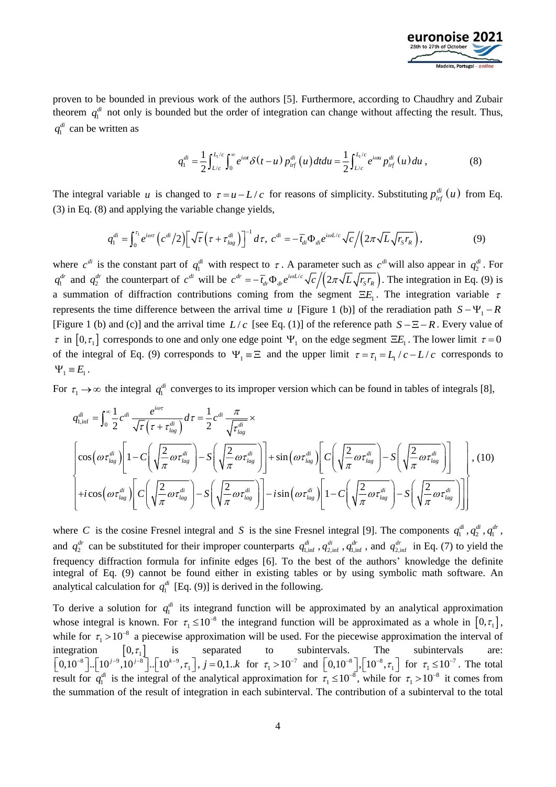

proven to be bounded in previous work of the authors [\[5\].](#page-9-3) Furthermore, according to Chaudhry and Zubair theorem  $q_1^d$  not only is bounded but the order of integration can change without affecting the result. Thus,  $q_1^{di}$  can be written as

$$
q_1^{di} = \frac{1}{2} \int_{L/c}^{L/c} \int_0^{\infty} e^{i\omega t} \delta(t - u) p_{if}^{di}(u) dt du = \frac{1}{2} \int_{L/c}^{L/c} e^{i\omega u} p_{if}^{di}(u) du , \qquad (8)
$$

The integral variable *u* is changed to  $\tau = u - L/c$  for reasons of simplicity. Substituting  $p_{\text{inf}}^{di}(u)$  from Eq. (3) in Eq. (8) and applying the variable change yields,

$$
q_1^{di} = \int_0^{\tau_1} e^{i\omega \tau} \left( c^{di} / 2 \right) \left[ \sqrt{\tau} \left( \tau + \tau_{lag}^{di} \right) \right]^{-1} d\tau, \ c^{di} = - \overline{t}_{di} \Phi_{di} e^{i\omega L/c} \sqrt{c} / \left( 2\pi \sqrt{L} \sqrt{r_s r_R} \right), \tag{9}
$$

where  $c^{di}$  is the constant part of  $q_1^{di}$  with respect to  $\tau$ . A parameter such as  $c^{di}$  will also appear in  $q_2^{di}$ . For  $q_1^{dr}$  and  $q_2^{dr}$  the counterpart of  $c^{dr}$  will be  $c^{dr} = -\bar{t}_{dr} \Phi_{dr} e^{i\omega L/c} \sqrt{c}/(2\pi\sqrt{L}\sqrt{r_s r_R})$ . respect to  $\tau$ . A parameter such as<br> $c^{dr} = -\overline{t}_{dr} \Phi_{dr} e^{i\omega L/c} \sqrt{c}/(2\pi\sqrt{L}\sqrt{r_s r_g})$  $\omega$ ect to  $\tau$ . A parameter such as c will also appear in  $q_2$ . For<br>=  $-\bar{t}_{dr}\Phi_{dr}e^{i\omega L/c}\sqrt{c}/(2\pi\sqrt{L}\sqrt{r_s r_R})$ . The integration in Eq. (9) is a summation of diffraction contributions coming from the segment  $\Xi E_1$ . The integration variable  $\tau$ represents the time difference between the arrival time u [\[Figure 1](#page-2-0) (b)] of the reradiation path  $S - \Psi_1 - R$ [\[Figure 1](#page-2-0) (b) and (c)] and the arrival time  $L/c$  [see Eq. (1)] of the reference path  $S - \Xi - R$ . Every value of  $\tau$  in  $[0, \tau_1]$  corresponds to one and only one edge point  $\Psi_1$  on the edge segment  $\Xi E_1$ . The lower limit  $\tau = 0$ of the integral of Eq. (9) corresponds to  $\Psi_1 \equiv \Xi$  and the upper limit  $\tau = \tau_1 = L_1/c - L/c$  corresponds to  $\Psi_1 \equiv E_1$ .

For  $\tau_1 \to \infty$  the integral  $q_1^{di}$  converges to its improper version which can be found in tables of integrals [\[8\],](#page-9-6)

$$
q_{1,\text{inf}}^{di} = \int_0^\infty \frac{1}{2} c^{di} \frac{e^{i\omega \tau}}{\sqrt{\tau} (\tau + \tau_{lag}^{di})} d\tau = \frac{1}{2} c^{di} \frac{\pi}{\sqrt{\tau_{lag}^{di}}} \times \left[1 - C \left(\sqrt{\frac{2}{\pi} \omega \tau_{lag}^{di}}\right) - S \left(\sqrt{\frac{2}{\pi} \omega \tau_{lag}^{di}}\right)\right] + \sin \left(\omega \tau_{lag}^{di}\right) \left[ C \left(\sqrt{\frac{2}{\pi} \omega \tau_{lag}^{di}}\right) - S \left(\sqrt{\frac{2}{\pi} \omega \tau_{lag}^{di}}\right)\right], (10)
$$
  
+ $i \cos \left(\omega \tau_{lag}^{di}\right) \left[ C \left(\sqrt{\frac{2}{\pi} \omega \tau_{lag}^{di}}\right) - S \left(\sqrt{\frac{2}{\pi} \omega \tau_{lag}^{di}}\right)\right] - i \sin \left(\omega \tau_{lag}^{di}\right) \left[ 1 - C \left(\sqrt{\frac{2}{\pi} \omega \tau_{lag}^{di}}\right) - S \left(\sqrt{\frac{2}{\pi} \omega \tau_{lag}^{di}}\right)\right] \right]$ 

where C is the cosine Fresnel integral and S is the sine Fresnel integral [\[9\].](#page-9-7) The components  $q_1^{d_i}, q_2^{d_i}, q_1^{d_r}$ , and  $q_2^{dr}$  can be substituted for their improper counterparts  $q_{1,\text{inf}}^{dr}$ ,  $q_{2,\text{inf}}^{dr}$ ,  $q_{1,\text{inf}}^{dr}$ , and  $q_{2,\text{inf}}^{dr}$  in Eq. (7) to yield the frequency diffraction formula for infinite edges [\[6\].](#page-9-4) To the best of the authors' knowledge the definite integral of Eq. (9) cannot be found either in existing tables or by using symbolic math software. An analytical calculation for  $q_1^{di}$  [Eq. (9)] is derived in the following.

To derive a solution for  $q_1^{di}$  its integrand function will be approximated by an analytical approximation whose integral is known. For  $\tau_1 \le 10^{-8}$  the integrand function will be approximated as a whole in  $[0, \tau_1]$ , while for  $\tau_1 > 10^{-8}$  a piecewise approximation will be used. For the piecewise approximation the interval of integration  $[0, \tau_1]$  is separated to subintervals. The subintervals are:<br> $[0,10^{-8}]$ ... $[10^{j-9}, 10^{j-8}]$ ... $[10^{k-9}, \tau_1]$ ,  $j = 0,1..k$  for  $\tau_1 > 10^{-7}$  and  $[0,10^{-8}]$ ,  $[10^{-8}, \tau_1]$  for  $\tau_1 \le 10^{-7}$ . The total result for  $q_1^{di}$  is the integral of the analytical approximation for  $\tau_1 \le 10^{-8}$ , while for  $\tau_1 > 10^{-8}$  it comes from the summation of the result of integration in each subinterval. The contribution of a subinterval to the total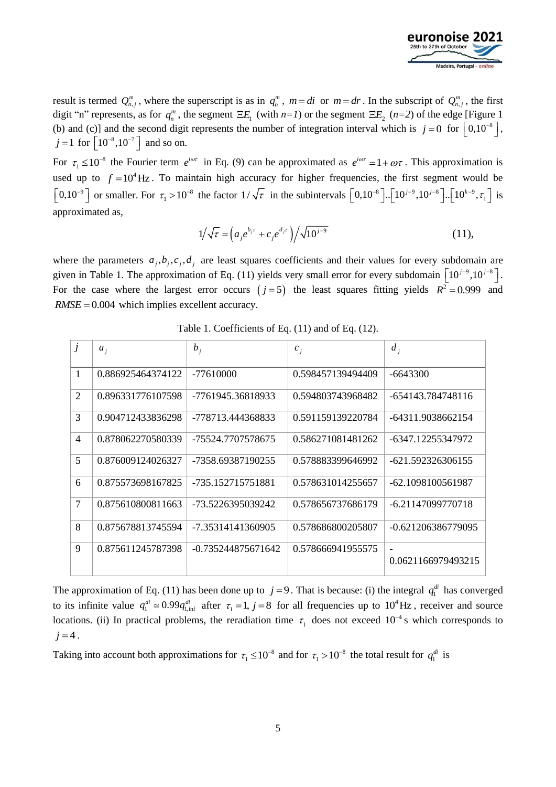

result is termed  $Q_{n,j}^m$ , where the superscript is as in  $q_n^m$ ,  $m = di$  or  $m = dr$ . In the subscript of  $Q_{n,j}^m$ , the first digit "n" represents, as for  $q_n^m$ , the segment  $\Xi E_1$  (with  $n=1$ ) or the segment  $\Xi E_2$  ( $n=2$ ) of the edge [\[Figure 1](#page-2-0) (b) and (c)] and the second digit represents the number of integration interval which is  $j = 0$  for  $\left[0,10^{-8}\right]$ ,  $j = 1$  for  $\left[10^{-8}, 10^{-7}\right]$  and so on.

For  $\tau_1 \leq 10^{-8}$  the Fourier term  $e^{i\omega\tau}$  in Eq. (9) can be approximated as  $e^{i\omega\tau} \approx 1 + \omega\tau$ . This approximation is used up to  $f = 10^4$  Hz. To maintain high accuracy for higher frequencies, the first segment would be  $\left[0,10^{-9}\right]$  or smaller. For  $\tau_1 > 10^{-8}$  the factor  $1/\sqrt{\tau}$  in the subintervals  $\left[0,10^{-8}\right]$ ... $\left[10^{j-9},10^{j-8}\right]$ ... $\left[10^{k-9},\tau_1\right]$  is approximated as,

$$
1/\sqrt{\tau} \simeq \left(a_j e^{b_j \tau} + c_j e^{d_j \tau}\right) / \sqrt{10^{j-9}} \tag{11}
$$

where the parameters  $a_j$ ,  $b_j$ ,  $c_j$ ,  $d_j$  are least squares coefficients and their values for every subdomain are given in Table 1. The approximation of Eq. (11) yields very small error for every subdomain  $\left[10^{j-9}, 10^{j-8}\right]$ . For the case where the largest error occurs  $(j=5)$  the least squares fitting yields  $R^2 = 0.999$  and *RMSE* = 0.004 which implies excellent accuracy.

<span id="page-4-0"></span>

| $\overline{J}$ | $a_i$             | $b_i$                | $c_i$             | $d_i$                                          |
|----------------|-------------------|----------------------|-------------------|------------------------------------------------|
| $\mathbf{1}$   | 0.886925464374122 | $-77610000$          | 0.598457139494409 | $-6643300$                                     |
| 2              | 0.896331776107598 | -7761945.36818933    | 0.594803743968482 | -654143.784748116                              |
| 3              | 0.904712433836298 | -778713.444368833    | 0.591159139220784 | -64311.9038662154                              |
| $\overline{4}$ | 0.878062270580339 | -75524.7707578675    | 0.586271081481262 | -6347.12255347972                              |
| 5              | 0.876009124026327 | -7358.69387190255    | 0.578883399646992 | -621.592326306155                              |
| 6              | 0.875573698167825 | -735.152715751881    | 0.578631014255657 | -62.1098100561987                              |
| $\overline{7}$ | 0.875610800811663 | -73.5226395039242    | 0.578656737686179 | -6.21147099770718                              |
| 8              | 0.875678813745594 | -7.35314141360905    | 0.578686800205807 | -0.621206386779095                             |
| 9              | 0.875611245787398 | $-0.735244875671642$ | 0.578666941955575 | $\overline{\phantom{0}}$<br>0.0621166979493215 |
|                |                   |                      |                   |                                                |

Table 1. Coefficients of Eq. (11) and of Eq. (12).

The approximation of Eq. (11) has been done up to  $j = 9$ . That is because: (i) the integral  $q_1^{di}$  has converged to its infinite value  $q_1^{di} \approx 0.99 q_{1,inf}^{di}$  after  $\tau_1 = 1$ ,  $j = 8$  for all frequencies up to  $10^4$  Hz, receiver and source locations. (ii) In practical problems, the reradiation time  $\tau_1$  does not exceed 10<sup>-4</sup> s which corresponds to  $j = 4$ .

Taking into account both approximations for  $\tau_1 \le 10^{-8}$  and for  $\tau_1 > 10^{-8}$  the total result for  $q_1^{di}$  is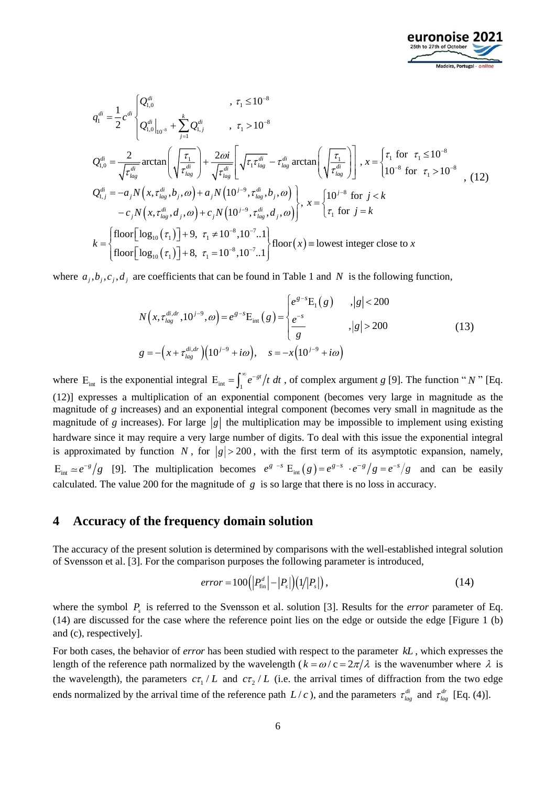

$$
q_{1}^{di} = \frac{1}{2} c^{di} \begin{cases} Q_{1,0}^{di} & , \tau_{1} \le 10^{-8} \\ Q_{1,0}^{di}|_{10^{-8}} + \sum_{j=1}^{k} Q_{1,j}^{di} & , \tau_{1} > 10^{-8} \end{cases}
$$
  
\n
$$
Q_{1,0}^{di} = \frac{2}{\sqrt{\tau_{lag}^{di}}} \arctan \left( \sqrt{\frac{\tau_{1}}{\tau_{lag}^{di}}} \right) + \frac{2\omega i}{\sqrt{\tau_{lag}^{di}}} \left[ \sqrt{\tau_{1} \tau_{lag}^{di}} - \tau_{lag}^{di} \arctan \left( \sqrt{\frac{\tau_{1}}{\tau_{lag}^{di}}} \right) \right], x = \begin{cases} \tau_{1} \text{ for } \tau_{1} \le 10^{-8} \\ 10^{-8} \text{ for } \tau_{1} > 10^{-8} \end{cases}
$$
  
\n
$$
Q_{1,j}^{di} = -a_{j} N \left( x, \tau_{lag}^{di}, b_{j}, \omega \right) + a_{j} N \left( 10^{j-9}, \tau_{lag}^{di}, b_{j}, \omega \right) \right), x = \begin{cases} 10^{j-8} \text{ for } j < k \\ \tau_{1} \text{ for } j = k \end{cases}
$$
  
\n
$$
k = \begin{cases} \text{floor} \left[ \log_{10}(\tau_{1}) \right] + 9, \ \tau_{1} \ne 10^{-8}, 10^{-7} ... \\ \text{floor} \left[ \log_{10}(\tau_{1}) \right] + 8, \ \tau_{1} = 10^{-8}, 10^{-7} ... \\ \end{cases} \text{floor}(x) \equiv \text{lowest integer close to } x
$$

where  $a_j, b_j, c_j, d_j$  are coefficients that can be found i[n Table 1](#page-4-0) and N is the following function,

$$
N(x, \tau_{lag}^{di,dr}, 10^{j-9}, \omega) = e^{g-s} E_{int}(g) = \begin{cases} e^{g-s} E_1(g) & , |g| < 200 \\ \frac{e^{-s}}{g} & , |g| > 200 \end{cases}
$$
  
\n
$$
g = -\left(x + \tau_{lag}^{di,dr}\right) \left(10^{j-9} + i\omega\right), \quad s = -x \left(10^{j-9} + i\omega\right)
$$
 (13)

where  $E_{int}$  is the exponential integral  $E_{int} = \int_{1}^{\infty} e^{-gt}/t dt$ , of complex argument *g* [\[9\].](#page-9-7) The function "*N* " [Eq. (12)] expresses a multiplication of an exponential component (becomes very large in magnitude as the magnitude of *g* increases) and an exponential integral component (becomes very small in magnitude as the magnitude of *g* increases). For large  $|g|$  the multiplication may be impossible to implement using existing hardware since it may require a very large number of digits. To deal with this issue the exponential integral is approximated by function N, for  $|g| > 200$ , with the first term of its asymptotic expansion, namely,  $E_{int} \approx e^{-g}/g$  [\[9\].](#page-9-7) The multiplication becomes  $e^{g-s} E_{int}(g) = e^{g-s} \cdot e^{-g}/g = e^{-g}/g$  and can be easily calculated. The value 200 for the magnitude of  $g$  is so large that there is no loss in accuracy.

## **4 Accuracy of the frequency domain solution**

The accuracy of the present solution is determined by comparisons with the well-established integral solution of Svensson et al. [\[3\].](#page-9-1) For the comparison purposes the following parameter is introduced,

$$
error = 100\left(\left|P_{\text{fin}}^d\right| - \left|P_s\right|\right)\left(1/\left|P_s\right|\right),\tag{14}
$$

where the symbol  $P_s$  is referred to the Svensson et al. solution [\[3\].](#page-9-1) Results for the *error* parameter of Eq. (14) are discussed for the case where the reference point lies on the edge or outside the edge [\[Figure 1](#page-2-0) (b) and (c), respectively].

For both cases, the behavior of *error* has been studied with respect to the parameter *kL* , which expresses the length of the reference path normalized by the wavelength  $(k = \omega/c = 2\pi/\lambda$  is the wavenumber where  $\lambda$  is the wavelength), the parameters  $c\tau_1/L$  and  $c\tau_2/L$  (i.e. the arrival times of diffraction from the two edge ends normalized by the arrival time of the reference path  $L/c$ ), and the parameters  $\tau_{lag}^{di}$  and  $\tau_{lag}^{dr}$  [Eq. (4)].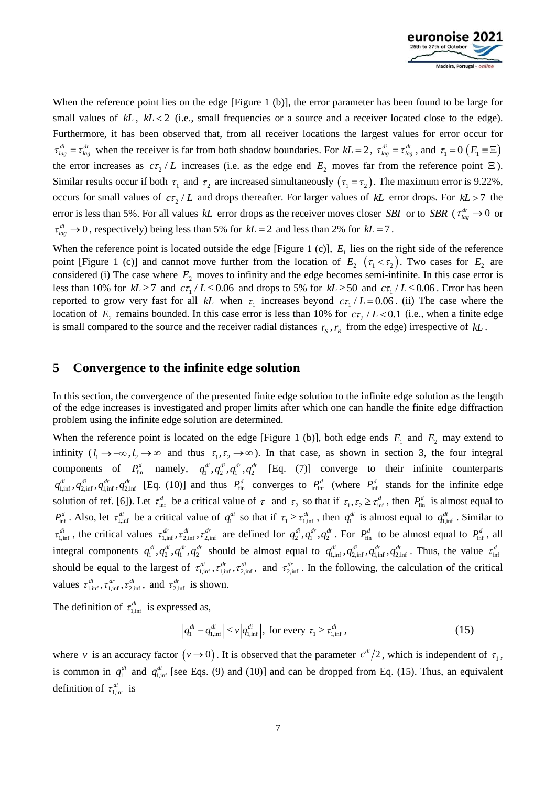

When the reference point lies on the edge [\[Figure 1](#page-2-0) (b)], the error parameter has been found to be large for small values of *kL*, *kL* < 2 (i.e., small frequencies or a source and a receiver located close to the edge). Furthermore, it has been observed that, from all receiver locations the largest values for error occur for  $\tau_{lag}^{di} = \tau_{lag}^{dr}$  when the receiver is far from both shadow boundaries. For  $kL = 2$ ,  $\tau_{lag}^{di} = \tau_{lag}^{dr}$ , and  $\tau_1 = 0$  ( $E_1 \equiv \Xi$ ) the error increases as  $c\tau_2/L$  increases (i.e. as the edge end  $E_2$  moves far from the reference point  $\Xi$ ). Similar results occur if both  $\tau_1$  and  $\tau_2$  are increased simultaneously  $(\tau_1 = \tau_2)$ . The maximum error is 9.22%, occurs for small values of  $c\tau_2/L$  and drops thereafter. For larger values of kL error drops. For kL > 7 the error is less than 5%. For all values kL error drops as the receiver moves closer *SBI* or to *SBR* ( $\tau_{lag}^{dr} \to 0$  or  $\tau_{lag}^{di} \rightarrow 0$ , respectively) being less than 5% for  $kL = 2$  and less than 2% for  $kL = 7$ .

When the reference point is located outside the edge [\[Figure 1](#page-2-0) (c)],  $E<sub>1</sub>$  lies on the right side of the reference point [\[Figure 1](#page-2-0) (c)] and cannot move further from the location of  $E_2(\tau_1 < \tau_2)$ . Two cases for  $E_2$  are considered (i) The case where  $E_2$  moves to infinity and the edge becomes semi-infinite. In this case error is less than 10% for  $kL \ge 7$  and  $c\tau_1 / L \le 0.06$  and drops to 5% for  $kL \ge 50$  and  $c\tau_1 / L \le 0.06$ . Error has been reported to grow very fast for all kL when  $\tau_1$  increases beyond  $c\tau_1/L = 0.06$ . (ii) The case where the location of  $E_2$  remains bounded. In this case error is less than 10% for  $c\tau_2/L < 0.1$  (i.e., when a finite edge is small compared to the source and the receiver radial distances  $r_s$ ,  $r_R$  from the edge) irrespective of  $kL$ .

#### **5 Convergence to the infinite edge solution**

In this section, the convergence of the presented finite edge solution to the infinite edge solution as the length of the edge increases is investigated and proper limits after which one can handle the finite edge diffraction problem using the infinite edge solution are determined.

When the reference point is located on the edge [\[Figure 1](#page-2-0) (b)], both edge ends  $E_1$  and  $E_2$  may extend to infinity  $(l_1 \rightarrow -\infty, l_2 \rightarrow \infty$  and thus  $\tau_1, \tau_2 \rightarrow \infty$ ). In that case, as shown in section [3,](#page-2-1) the four integral components of  $P_{fin}^d$  namely,  $q_1^{di}, q_2^{di}, q_1^{dr}, q_2^{dr}$  [Eq. (7)] converge to their infinite counterparts  $q_{1,\text{inf}}^{d}$ ,  $q_{2,\text{inf}}^{d'}$ ,  $q_{2,\text{inf}}^{d'}$  [Eq. (10)] and thus  $P_{\text{fin}}^d$  converges to  $P_{\text{inf}}^d$  (where  $P_{\text{inf}}^d$  stands for the infinite edge solution of ref. [\[6\]\)](#page-9-4). Let  $\tau_{\text{inf}}^d$  be a critical value of  $\tau_1$  and  $\tau_2$  so that if  $\tau_1, \tau_2 \geq \tau_{\text{inf}}^d$ , then  $P_{\text{fin}}^d$  is almost equal to  $P_{\text{inf}}^d$ . Also, let  $\tau_{1,\text{inf}}^d$  be a critical value of  $q_1^{d_i}$  so that if  $\tau_1 \geq \tau_{1,\text{inf}}^{d_i}$ , then  $q_1^{d_i}$  is almost equal to  $q_{1,\text{inf}}^{d_i}$ . Similar to  $\tau_{1,\text{inf}}^{di}$ , the critical values  $\tau_{1,\text{inf}}^{dr}, \tau_{2,\text{inf}}^{dr}, \tau_{2,\text{inf}}^{dr}$  are defined for  $q_2^{di}, q_1^{dr}, q_2^{dr}$ . For  $P_{\text{fin}}^{d}$  to be almost equal to  $P_{\text{inf}}^{d}$ , all integral components  $q_1^{di}, q_2^{di}, q_1^{dr}, q_2^{dr}$  should be almost equal to  $q_{1,\text{inf}}^{di}, q_{2,\text{inf}}^{di}, q_{1,\text{inf}}^{dr}, q_{2,\text{inf}}^{dr}$ . Thus, the value  $\tau_{\text{inf}}^d$ should be equal to the largest of  $\tau_{1,\text{inf}}^{d_i}$ ,  $\tau_{2,\text{inf}}^{d_i}$ , and  $\tau_{2,\text{inf}}^{d_i}$ . In the following, the calculation of the critical values  $\tau_{1,\text{inf}}^{di}$ ,  $\tau_{1,\text{inf}}^{dr}$ ,  $\tau_{2,\text{inf}}^{di}$ , and  $\tau_{2,\text{inf}}^{dr}$  is shown.

The definition of  $\tau_{1,\text{inf}}^{di}$  is expressed as,

$$
\left| q_1^{di} - q_{1,\inf}^{di} \right| \le \nu \left| q_{1,\inf}^{di} \right|, \text{ for every } \tau_1 \ge \tau_{1,\inf}^{di}, \tag{15}
$$

where v is an accuracy factor  $(\nu \to 0)$ . It is observed that the parameter  $c^{di}/2$ , which is independent of  $\tau_1$ , is common in  $q_1^{di}$  and  $q_{1,\text{inf}}^{di}$  [see Eqs. (9) and (10)] and can be dropped from Eq. (15). Thus, an equivalent definition of  $\tau_{1,\text{inf}}^{di}$  is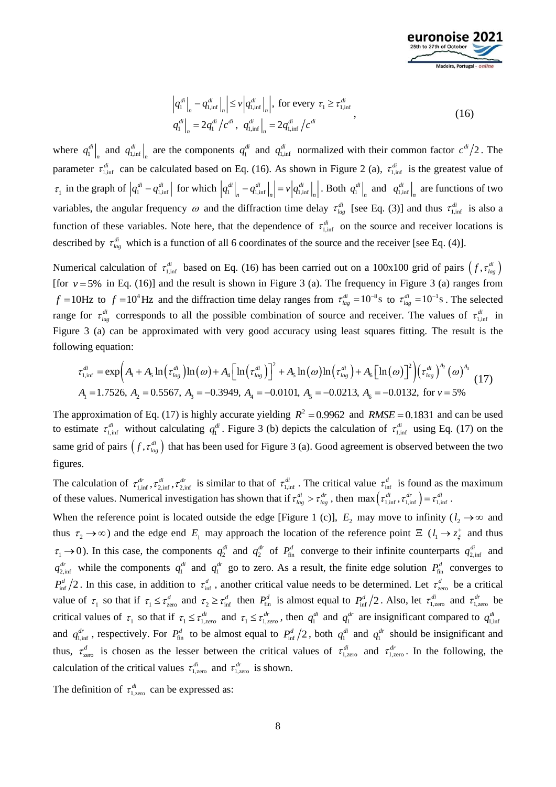

$$
\left| q_1^{di} \right|_n - q_{1,\inf}^{di} \left|_{n} \right| \leq v \left| q_{1,\inf}^{di} \right|_n \left| \right|, \text{ for every } \tau_1 \geq \tau_{1,\inf}^{di}
$$
\n
$$
q_1^{di} \left|_{n} = 2q_1^{di} / c^{di}, \quad q_{1,\inf}^{di} \right|_n = 2q_{1,\inf}^{di} / c^{di}
$$
\n(16)

where  $q_1^{di}$  $q_1^{di}\Big|_n$  and  $q_{1,\inf}^{di}$  $q_{1,\text{inf}}^{di}$  are the components  $q_1^{di}$  and  $q_{1,\text{inf}}^{di}$  normalized with their common factor  $c^{di}/2$ . The parameter  $\tau_{1,\text{inf}}^{di}$  can be calculated based on Eq. (16). As shown in [Figure](#page-8-0) 2 (a),  $\tau_{1,\text{inf}}^{di}$  is the greatest value of  $\tau_1$  in the graph of  $|q_1^{di} - q_{1,\text{inf}}^{di}|$  for which  $|q_1^{di}|_n - q_{1,\text{inf}}^{di}|_n = v|q_{1,\text{inf}}^{di}|$  $q_1^{di} \big|_n - q_{1,\inf}^{di} \big|_n \big| = v \big| q_{1,\inf}^{di} \big|_n \big|$ . Both  $q_1^{di}$  $q_1^{di}\Big|_n$  and  $q_{1,\text{inf}}^{di}$  $q_{1,\text{inf}}^{di}$  are functions of two variables, the angular frequency  $\omega$  and the diffraction time delay  $\tau_{lag}^{di}$  [see Eq. (3)] and thus  $\tau_{1,inf}^{di}$  is also a function of these variables. Note here, that the dependence of  $\tau_{1,\text{inf}}^{di}$  on the source and receiver locations is described by  $\tau_{lag}^{di}$  which is a function of all 6 coordinates of the source and the receiver [see Eq. (4)].

Numerical calculation of  $\tau_{1,\text{inf}}^{di}$  based on Eq. (16) has been carried out on a 100x100 grid of pairs  $(f, \tau_{lag}^{di})$ [for  $v = 5\%$  in Eq. (16)] and the result is shown in [Figure](#page-8-1) 3 (a). The frequency in Figure 3 (a) ranges from  $f = 10$ Hz to  $f = 10^4$  Hz and the diffraction time delay ranges from  $\tau_{lag}^{di} = 10^{-8}$  s to  $\tau_{lag}^{di} = 10^{-1}$  s. The selected range for  $\tau_{lag}^{di}$  corresponds to all the possible combination of source and receiver. The values of  $\tau_{1,inf}^{di}$  in [Figure](#page-8-1) 3 (a) can be approximated with very good accuracy using least squares fitting. The result is the following equation:

$$
\tau_{1,\text{inf}}^{di} = \exp\left(A_1 + A_5 \ln\left(\tau_{lag}^{di}\right) \ln\left(\omega\right) + A_4 \left[\ln\left(\tau_{lag}^{di}\right)\right]^2 + A_5 \ln\left(\omega\right) \ln\left(\tau_{lag}^{di}\right) + A_6 \left[\ln\left(\omega\right)\right]^2\right) \left(\tau_{lag}^{di}\right)^{A_2}\left(\omega\right)^{A_3}\right]
$$
\n
$$
A_1 = 1.7526, \ A_2 = 0.5567, \ A_3 = -0.3949, \ A_4 = -0.0101, \ A_5 = -0.0213, \ A_6 = -0.0132, \text{ for } \nu = 5\%
$$
\n(17)

The approximation of Eq. (17) is highly accurate yielding  $R^2 = 0.9962$  and  $RMSE = 0.1831$  and can be used to estimate  $\tau_{1,\text{inf}}^{di}$  without calculating  $q_1^{di}$ . [Figure](#page-8-1) 3 (b) depicts the calculation of  $\tau_{1,\text{inf}}^{di}$  using Eq. (17) on the same grid of pairs  $(f, \tau_{lag}^{di})$  that has been used for [Figure](#page-8-1) 3 (a). Good agreement is observed between the two figures.

The calculation of  $\tau_{1,\text{inf}}^{d'}$ ,  $\tau_{2,\text{inf}}^{d'}$  is similar to that of  $\tau_{1,\text{inf}}^{d'}$ . The critical value  $\tau_{\text{inf}}^{d'}$  is found as the maximum of these values. Numerical investigation has shown that if  $\tau_{lag}^{di} > \tau_{lag}^{dr}$ , then  $\max(\tau_{l,inf}^{di}, \tau_{l,inf}^{dr}) = \tau_{l,inf}^{di}$ .

When the reference point is located outside the edge [\[Figure 1](#page-2-0) (c)],  $E_2$  may move to infinity ( $l_2 \rightarrow \infty$  and thus  $\tau_2 \to \infty$ ) and the edge end  $E_1$  may approach the location of the reference point  $E$  ( $l_1 \to z_\xi^+$  and thus  $\tau_1 \to 0$ ). In this case, the components  $q_2^{di}$  and  $q_2^{dr}$  of  $P_{fin}^d$  converge to their infinite counterparts  $q_{2,inf}^{di}$  and  $q_{2,\text{inf}}^{d'}$  while the components  $q_1^{d'}$  and  $q_1^{d'}$  go to zero. As a result, the finite edge solution  $P_{\text{fin}}^d$  converges to  $P_{\text{inf}}^d/2$ . In this case, in addition to  $\tau_{\text{inf}}^d$ , another critical value needs to be determined. Let  $\tau_{\text{zero}}^d$  be a critical value of  $\tau_1$  so that if  $\tau_1 \leq \tau_{\text{zero}}^d$  and  $\tau_2 \geq \tau_{\text{inf}}^d$  then  $P_{\text{fin}}^d$  is almost equal to  $P_{\text{inf}}^d/2$ . Also, let  $\tau_{\text{1,zero}}^{di}$  and  $\tau_{\text{1,zero}}^{dr}$  be critical values of  $\tau_1$  so that if  $\tau_1 \leq \tau_1^d$  and  $\tau_1 \leq \tau_1^d r_2$ , then  $q_1^{d'}$  and  $q_1^{d'}$  are insignificant compared to  $q_{1,\text{inf}}^{d'}$ and  $q_{1,\text{inf}}^{d'}$ , respectively. For  $P_{\text{fin}}^d$  to be almost equal to  $P_{\text{inf}}^d/2$ , both  $q_1^{d'}$  and  $q_1^{d'}$  should be insignificant and thus,  $\tau_{\text{zero}}^d$  is chosen as the lesser between the critical values of  $\tau_{\text{1,zero}}^{di}$  and  $\tau_{\text{1,zero}}^{dr}$ . In the following, the calculation of the critical values  $\tau_{1,\text{zero}}^{di}$  and  $\tau_{1,\text{zero}}^{dr}$  is shown.

The definition of  $\tau_{1,\text{zero}}^{di}$  can be expressed as: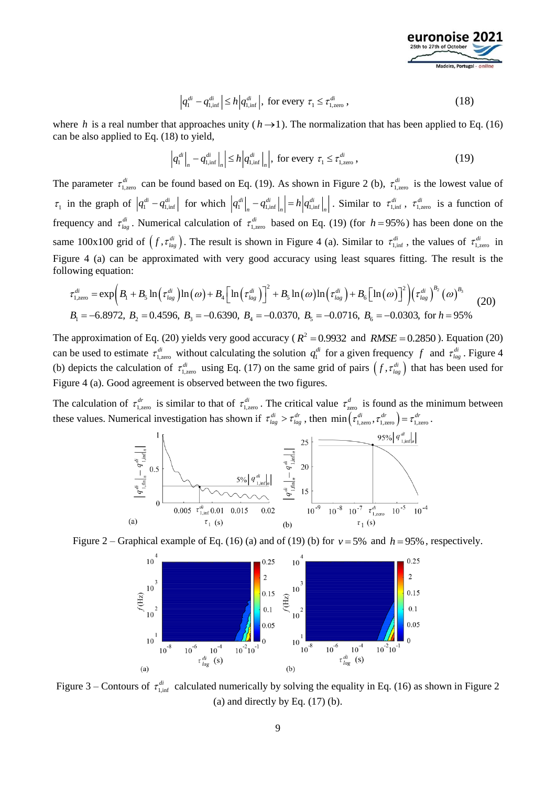

$$
\left|q_1^{di} - q_{1,\inf}^{di}\right| \le h \left|q_{1,\inf}^{di}\right|, \text{ for every } \tau_1 \le \tau_{1,\text{zero}}^{di},\tag{18}
$$

where *h* is a real number that approaches unity  $(h \rightarrow 1)$ . The normalization that has been applied to Eq. (16) can be also applied to Eq. (18) to yield,

$$
\left|q_1^{di}\right|_n - q_{1,\inf}^{di}\left|_n\right| \le h\left|q_{1,\inf}^{di}\right|_n, \text{ for every } \tau_1 \le \tau_{1,\text{zero}}^{di},\tag{19}
$$

The parameter  $\tau_{1,\text{zero}}^{di}$  can be found based on Eq. (19). As shown in [Figure](#page-8-0) 2 (b),  $\tau_{1,\text{zero}}^{di}$  is the lowest value of  $\tau_1$  in the graph of  $|q_1^{di} - q_{1,\text{inf}}^{di}|$  for which  $|q_1^{di}|$   $-q_{1,\text{inf}}^{di}|$   $| = h|q_{1,\text{inf}}^{di}|$  $q_1^{di}\Big|_n - q_{1,\text{inf}}^{di}\Big|_n = h\Big|q_{1,\text{inf}}^{di}\Big|_n\Big|$ . Similar to  $\tau_{1,\text{inf}}^{di}$ ,  $\tau_{1,\text{zero}}^{di}$  is a function of frequency and  $\tau_{lag}^{di}$ . Numerical calculation of  $\tau_{1,zero}^{di}$  based on Eq. (19) (for  $h = 95\%$ ) has been done on the same 100x100 grid of  $(f, \tau_{lag}^{di})$ . The result is shown in [Figure 4](#page-9-8) (a). Similar to  $\tau_{1,inf}^{di}$ , the values of  $\tau_{1,zero}^{di}$  in [Figure 4](#page-9-8) (a) can be approximated with very good accuracy using least squares fitting. The result is the following equation:

$$
\tau_{1,\text{zero}}^{di} = \exp\left(B_1 + B_5 \ln\left(\tau_{lag}^{di}\right) \ln\left(\omega\right) + B_4 \left[\ln\left(\tau_{lag}^{di}\right)\right]^2 + B_5 \ln\left(\omega\right) \ln\left(\tau_{lag}^{di}\right) + B_6 \left[\ln\left(\omega\right)\right]^2\right) \left(\tau_{lag}^{di}\right)^{B_2}\left(\omega\right)^{B_3}
$$
\n
$$
B_1 = -6.8972, \ B_2 = 0.4596, \ B_3 = -0.6390, \ B_4 = -0.0370, \ B_5 = -0.0716, \ B_6 = -0.0303, \text{ for } h = 95\%
$$
\n(20)

The approximation of Eq. (20) yields very good accuracy ( $R^2 = 0.9932$  and  $RMSE = 0.2850$ ). Equation (20) can be used to estimate  $\tau_{1,zero}^{di}$  without calculating the solution  $q_1^{di}$  for a given frequency f and  $\tau_{lag}^{di}$ . [Figure 4](#page-9-8) (b) depicts the calculation of  $\tau_{1,\text{zero}}^{di}$  using Eq. (17) on the same grid of pairs  $(f, \tau_{lag}^{di})$  that has been used for [Figure 4](#page-9-8) (a). Good agreement is observed between the two figures.

The calculation of  $\tau_{1,\text{zero}}^{dr}$  is similar to that of  $\tau_{1,\text{zero}}^{dr}$ . The critical value  $\tau_{\text{zero}}^{d}$  is found as the minimum between these values. Numerical investigation has shown if  $\tau_{lag}^{di} > \tau_{lag}^{dr}$ , then  $\min(\tau_{1,\text{zero}}^{di}, \tau_{1,\text{zero}}^{dr}) = \tau_{1,\text{zero}}^{dr}$ .



<span id="page-8-0"></span>



<span id="page-8-1"></span>[Figure](#page-8-0) 3 – Contours of  $\tau_{1,\text{inf}}^{\text{di}}$  calculated numerically by solving the equality in Eq. (16) as shown in Figure 2 (a) and directly by Eq.  $(17)$  (b).